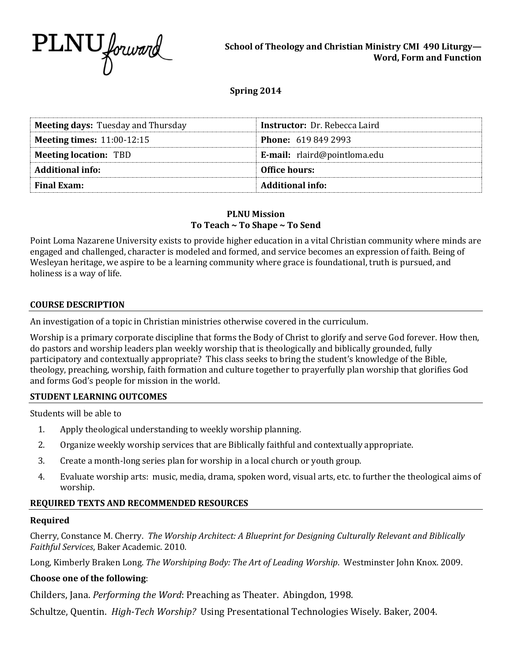

### **Spring 2014**

| <b>Meeting days: Tuesday and Thursday</b> | <b>Instructor:</b> Dr. Rebecca Laird |  |
|-------------------------------------------|--------------------------------------|--|
| Meeting times: $11:00-12:15$              | <b>Phone:</b> 619 849 2993           |  |
| <b>Meeting location: TBD</b>              | <b>E-mail:</b> rlaird@pointloma.edu  |  |
| <b>Additional info:</b>                   | Office hours:                        |  |
| <b>Final Exam:</b>                        | <b>Additional info:</b>              |  |

#### **PLNU Mission To Teach ~ To Shape ~ To Send**

Point Loma Nazarene University exists to provide higher education in a vital Christian community where minds are engaged and challenged, character is modeled and formed, and service becomes an expression of faith. Being of Wesleyan heritage, we aspire to be a learning community where grace is foundational, truth is pursued, and holiness is a way of life.

#### **COURSE DESCRIPTION**

An investigation of a topic in Christian ministries otherwise covered in the curriculum.

Worship is a primary corporate discipline that forms the Body of Christ to glorify and serve God forever. How then, do pastors and worship leaders plan weekly worship that is theologically and biblically grounded, fully participatory and contextually appropriate? This class seeks to bring the student's knowledge of the Bible, theology, preaching, worship, faith formation and culture together to prayerfully plan worship that glorifies God and forms God's people for mission in the world.

#### **STUDENT LEARNING OUTCOMES**

Students will be able to

- 1. Apply theological understanding to weekly worship planning.
- 2. Organize weekly worship services that are Biblically faithful and contextually appropriate.
- 3. Create a month-long series plan for worship in a local church or youth group.
- 4. Evaluate worship arts: music, media, drama, spoken word, visual arts, etc. to further the theological aims of worship.

#### **REQUIRED TEXTS AND RECOMMENDED RESOURCES**

#### **Required**

Cherry, Constance M. Cherry. *The Worship Architect: A Blueprint for Designing Culturally Relevant and Biblically Faithful Services*, Baker Academic. 2010.

Long, Kimberly Braken Long. *The Worshiping Body: The Art of Leading Worship*. Westminster John Knox. 2009.

#### **Choose one of the following**:

Childers, Jana. *Performing the Word*: Preaching as Theater. Abingdon, 1998.

Schultze, Quentin. *High-Tech Worship?* Using Presentational Technologies Wisely. Baker, 2004.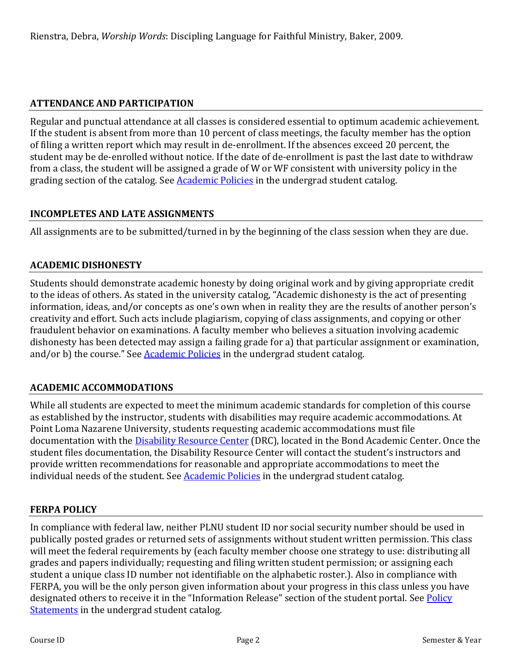# **ATTENDANCE AND PARTICIPATION**

Regular and punctual attendance at all classes is considered essential to optimum academic achievement. If the student is absent from more than 10 percent of class meetings, the faculty member has the option of filing a written report which may result in de-enrollment. If the absences exceed 20 percent, the student may be de-enrolled without notice. If the date of de-enrollment is past the last date to withdraw from a class, the student will be assigned a grade of W or WF consistent with university policy in the grading section of the catalog. See **Academic Policies** in the undergrad student catalog.

# **INCOMPLETES AND LATE ASSIGNMENTS**

All assignments are to be submitted/turned in by the beginning of the class session when they are due.

# **ACADEMIC DISHONESTY**

Students should demonstrate academic honesty by doing original work and by giving appropriate credit to the ideas of others. As stated in the university catalog, "Academic dishonesty is the act of presenting information, ideas, and/or concepts as one's own when in reality they are the results of another person's creativity and effort. Such acts include plagiarism, copying of class assignments, and copying or other fraudulent behavior on examinations. A faculty member who believes a situation involving academic dishonesty has been detected may assign a failing grade for a) that particular assignment or examination, and/or b) the course." See **Academic Policies** in the undergrad student catalog.

# **ACADEMIC ACCOMMODATIONS**

While all students are expected to meet the minimum academic standards for completion of this course as established by the instructor, students with disabilities may require academic accommodations. At Point Loma Nazarene University, students requesting academic accommodations must file documentation with the **Disability Resource Center** (DRC), located in the Bond Academic Center. Once the student files documentation, the Disability Resource Center will contact the student's instructors and provide written recommendations for reasonable and appropriate accommodations to meet the individual needs of the student. See **Academic Policies** in the undergrad student catalog.

## **FERPA POLICY**

In compliance with federal law, neither PLNU student ID nor social security number should be used in publically posted grades or returned sets of assignments without student written permission. This class will meet the federal requirements by (each faculty member choose one strategy to use: distributing all grades and papers individually; requesting and filing written student permission; or assigning each student a unique class ID number not identifiable on the alphabetic roster.). Also in compliance with FERPA, you will be the only person given information about your progress in this class unless you have designated others to receive it in the "Information Release" section of the student portal. See Policy [Statements](http://www.pointloma.edu/experience/academics/catalogs/undergraduate-catalog/policy-statements) in the undergrad student catalog.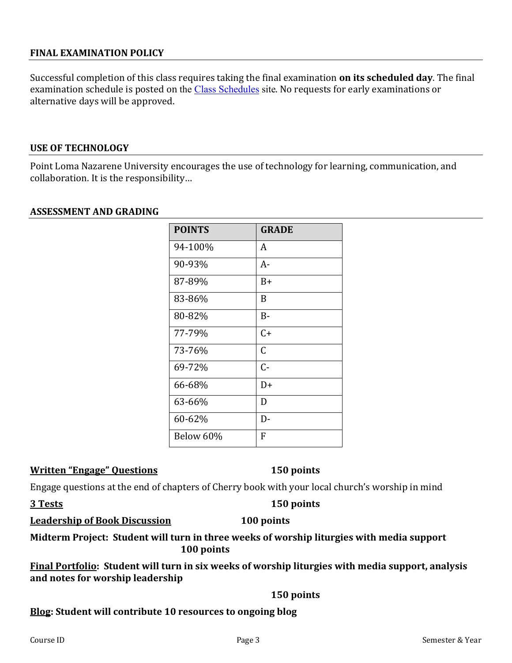### **FINAL EXAMINATION POLICY**

Successful completion of this class requires taking the final examination **on its scheduled day**. The final examination schedule is posted on the [Class Schedules](http://www.pointloma.edu/experience/academics/class-schedules) site. No requests for early examinations or alternative days will be approved.

#### **USE OF TECHNOLOGY**

Point Loma Nazarene University encourages the use of technology for learning, communication, and collaboration. It is the responsibility…

#### **ASSESSMENT AND GRADING**

| <b>POINTS</b> | <b>GRADE</b> |
|---------------|--------------|
| 94-100%       | A            |
| 90-93%        | A-           |
| 87-89%        | B+           |
| 83-86%        | B            |
| 80-82%        | $B -$        |
| 77-79%        | $C+$         |
| 73-76%        | C            |
| 69-72%        | Հ-           |
| 66-68%        | $D+$         |
| 63-66%        | D            |
| 60-62%        | D-           |
| Below 60%     | F            |

#### **Written "Engage" Questions 150 points**

Engage questions at the end of chapters of Cherry book with your local church's worship in mind

**3 Tests 150 points** 

#### **Leadership of Book Discussion 100 points**

**Midterm Project: Student will turn in three weeks of worship liturgies with media support 100 points**

**Final Portfolio: Student will turn in six weeks of worship liturgies with media support, analysis and notes for worship leadership** 

#### **150 points**

#### **Blog: Student will contribute 10 resources to ongoing blog**